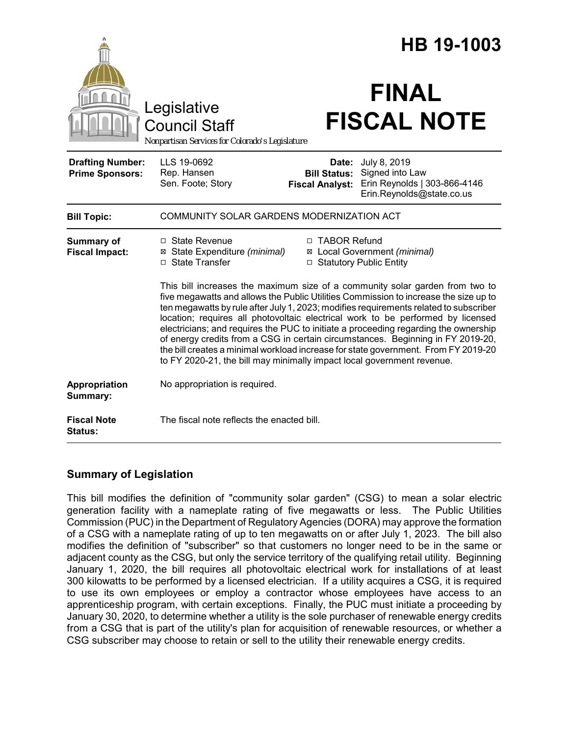|                                                   |                                                                                 |                                                        | HB 19-1003                                                                                                                                                                                                                                                                                                                                                                                                                                                                                                                                                                                                       |
|---------------------------------------------------|---------------------------------------------------------------------------------|--------------------------------------------------------|------------------------------------------------------------------------------------------------------------------------------------------------------------------------------------------------------------------------------------------------------------------------------------------------------------------------------------------------------------------------------------------------------------------------------------------------------------------------------------------------------------------------------------------------------------------------------------------------------------------|
|                                                   | Legislative<br>Council Staff<br>Nonpartisan Services for Colorado's Legislature |                                                        | <b>FINAL</b><br><b>FISCAL NOTE</b>                                                                                                                                                                                                                                                                                                                                                                                                                                                                                                                                                                               |
| <b>Drafting Number:</b><br><b>Prime Sponsors:</b> | LLS 19-0692<br>Rep. Hansen<br>Sen. Foote; Story                                 | Date:<br><b>Bill Status:</b><br><b>Fiscal Analyst:</b> | July 8, 2019<br>Signed into Law<br>Erin Reynolds   303-866-4146<br>Erin.Reynolds@state.co.us                                                                                                                                                                                                                                                                                                                                                                                                                                                                                                                     |
| <b>Bill Topic:</b>                                | COMMUNITY SOLAR GARDENS MODERNIZATION ACT                                       |                                                        |                                                                                                                                                                                                                                                                                                                                                                                                                                                                                                                                                                                                                  |
| <b>Summary of</b><br><b>Fiscal Impact:</b>        | □ State Revenue<br>⊠ State Expenditure (minimal)<br>□ State Transfer            | □ TABOR Refund<br>□ Statutory Public Entity            | ⊠ Local Government (minimal)                                                                                                                                                                                                                                                                                                                                                                                                                                                                                                                                                                                     |
|                                                   | to FY 2020-21, the bill may minimally impact local government revenue.          |                                                        | This bill increases the maximum size of a community solar garden from two to<br>five megawatts and allows the Public Utilities Commission to increase the size up to<br>ten megawatts by rule after July 1, 2023; modifies requirements related to subscriber<br>location; requires all photovoltaic electrical work to be performed by licensed<br>electricians; and requires the PUC to initiate a proceeding regarding the ownership<br>of energy credits from a CSG in certain circumstances. Beginning in FY 2019-20,<br>the bill creates a minimal workload increase for state government. From FY 2019-20 |
| Appropriation<br>Summary:                         | No appropriation is required.                                                   |                                                        |                                                                                                                                                                                                                                                                                                                                                                                                                                                                                                                                                                                                                  |
| <b>Fiscal Note</b><br>Status:                     | The fiscal note reflects the enacted bill.                                      |                                                        |                                                                                                                                                                                                                                                                                                                                                                                                                                                                                                                                                                                                                  |

## **Summary of Legislation**

This bill modifies the definition of "community solar garden" (CSG) to mean a solar electric generation facility with a nameplate rating of five megawatts or less. The Public Utilities Commission (PUC) in the Department of Regulatory Agencies (DORA) may approve the formation of a CSG with a nameplate rating of up to ten megawatts on or after July 1, 2023. The bill also modifies the definition of "subscriber" so that customers no longer need to be in the same or adjacent county as the CSG, but only the service territory of the qualifying retail utility. Beginning January 1, 2020, the bill requires all photovoltaic electrical work for installations of at least 300 kilowatts to be performed by a licensed electrician. If a utility acquires a CSG, it is required to use its own employees or employ a contractor whose employees have access to an apprenticeship program, with certain exceptions. Finally, the PUC must initiate a proceeding by January 30, 2020, to determine whether a utility is the sole purchaser of renewable energy credits from a CSG that is part of the utility's plan for acquisition of renewable resources, or whether a CSG subscriber may choose to retain or sell to the utility their renewable energy credits.